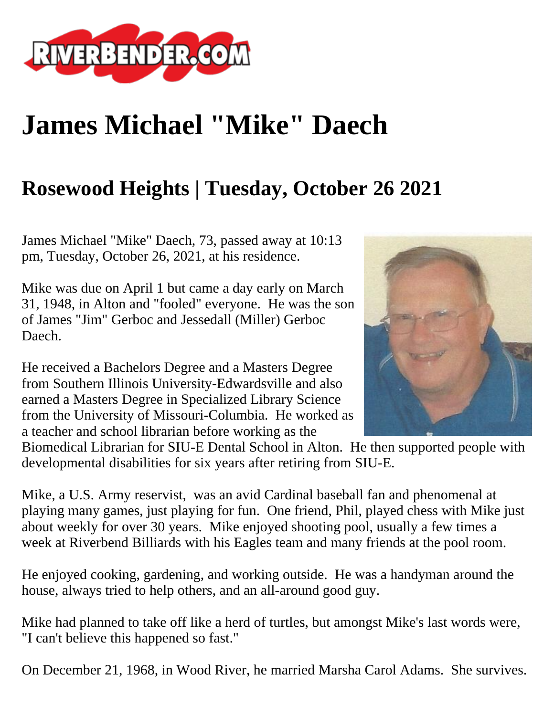

## **James Michael "Mike" Daech**

## **Rosewood Heights | Tuesday, October 26 2021**

James Michael "Mike" Daech, 73, passed away at 10:13 pm, Tuesday, October 26, 2021, at his residence.

Mike was due on April 1 but came a day early on March 31, 1948, in Alton and "fooled" everyone. He was the son of James "Jim" Gerboc and Jessedall (Miller) Gerboc Daech.

He received a Bachelors Degree and a Masters Degree from Southern Illinois University-Edwardsville and also earned a Masters Degree in Specialized Library Science from the University of Missouri-Columbia. He worked as a teacher and school librarian before working as the



Biomedical Librarian for SIU-E Dental School in Alton. He then supported people with developmental disabilities for six years after retiring from SIU-E.

Mike, a U.S. Army reservist, was an avid Cardinal baseball fan and phenomenal at playing many games, just playing for fun. One friend, Phil, played chess with Mike just about weekly for over 30 years. Mike enjoyed shooting pool, usually a few times a week at Riverbend Billiards with his Eagles team and many friends at the pool room.

He enjoyed cooking, gardening, and working outside. He was a handyman around the house, always tried to help others, and an all-around good guy.

Mike had planned to take off like a herd of turtles, but amongst Mike's last words were, "I can't believe this happened so fast."

On December 21, 1968, in Wood River, he married Marsha Carol Adams. She survives.